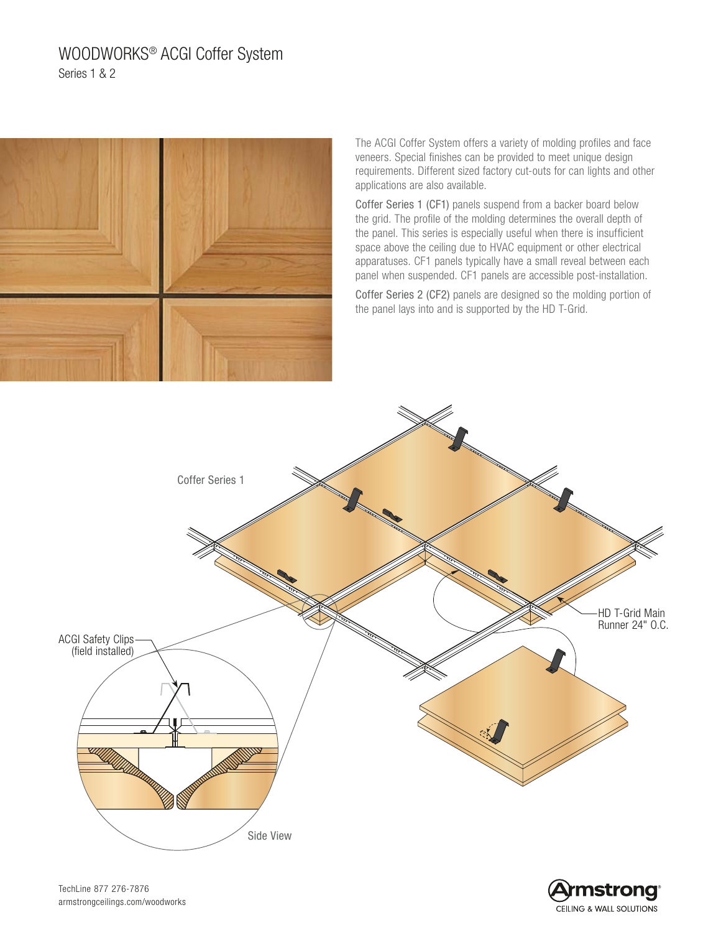# WOODWORKS® ACGI Coffer System Series 1 & 2



The ACGI Coffer System offers a variety of molding profiles and face veneers. Special finishes can be provided to meet unique design requirements. Different sized factory cut-outs for can lights and other applications are also available.

Coffer Series 1 (CF1) panels suspend from a backer board below the grid. The profile of the molding determines the overall depth of the panel. This series is especially useful when there is insufficient space above the ceiling due to HVAC equipment or other electrical apparatuses. CF1 panels typically have a small reveal between each panel when suspended. CF1 panels are accessible post-installation.

Coffer Series 2 (CF2) panels are designed so the molding portion of the panel lays into and is supported by the HD T-Grid.





TechLine 877 276-7876 armstrongceilings.com/woodworks